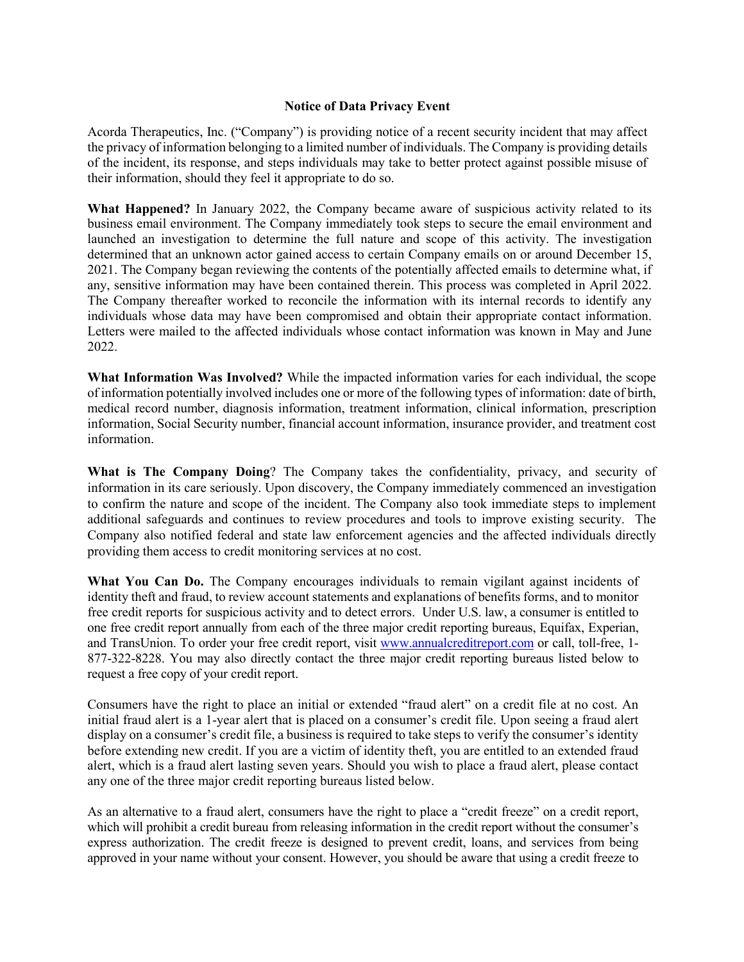## **Notice of Data Privacy Event**

Acorda Therapeutics, Inc. ("Company") is providing notice of a recent security incident that may affect the privacy of information belonging to a limited number of individuals. The Company is providing details of the incident, its response, and steps individuals may take to better protect against possible misuse of their information, should they feel it appropriate to do so.

**What Happened?** In January 2022, the Company became aware of suspicious activity related to its business email environment. The Company immediately took steps to secure the email environment and launched an investigation to determine the full nature and scope of this activity. The investigation determined that an unknown actor gained access to certain Company emails on or around December 15, 2021. The Company began reviewing the contents of the potentially affected emails to determine what, if any, sensitive information may have been contained therein. This process was completed in April 2022. The Company thereafter worked to reconcile the information with its internal records to identify any individuals whose data may have been compromised and obtain their appropriate contact information. Letters were mailed to the affected individuals whose contact information was known in May and June 2022.

**What Information Was Involved?** While the impacted information varies for each individual, the scope of information potentially involved includes one or more of the following types of information: date of birth, medical record number, diagnosis information, treatment information, clinical information, prescription information, Social Security number, financial account information, insurance provider, and treatment cost information.

**What is The Company Doing**? The Company takes the confidentiality, privacy, and security of information in its care seriously. Upon discovery, the Company immediately commenced an investigation to confirm the nature and scope of the incident. The Company also took immediate steps to implement additional safeguards and continues to review procedures and tools to improve existing security. The Company also notified federal and state law enforcement agencies and the affected individuals directly providing them access to credit monitoring services at no cost.

What You Can Do. The Company encourages individuals to remain vigilant against incidents of identity theft and fraud, to review account statements and explanations of benefits forms, and to monitor free credit reports for suspicious activity and to detect errors. Under U.S. law, a consumer is entitled to one free credit report annually from each of the three major credit reporting bureaus, Equifax, Experian, and TransUnion. To order your free credit report, visit [www.annualcreditreport.com](http://www.annualcreditreport.com/) or call, toll-free, 1- 877-322-8228. You may also directly contact the three major credit reporting bureaus listed below to request a free copy of your credit report.

Consumers have the right to place an initial or extended "fraud alert" on a credit file at no cost. An initial fraud alert is a 1-year alert that is placed on a consumer's credit file. Upon seeing a fraud alert display on a consumer's credit file, a business is required to take steps to verify the consumer's identity before extending new credit. If you are a victim of identity theft, you are entitled to an extended fraud alert, which is a fraud alert lasting seven years. Should you wish to place a fraud alert, please contact any one of the three major credit reporting bureaus listed below.

As an alternative to a fraud alert, consumers have the right to place a "credit freeze" on a credit report, which will prohibit a credit bureau from releasing information in the credit report without the consumer's express authorization. The credit freeze is designed to prevent credit, loans, and services from being approved in your name without your consent. However, you should be aware that using a credit freeze to